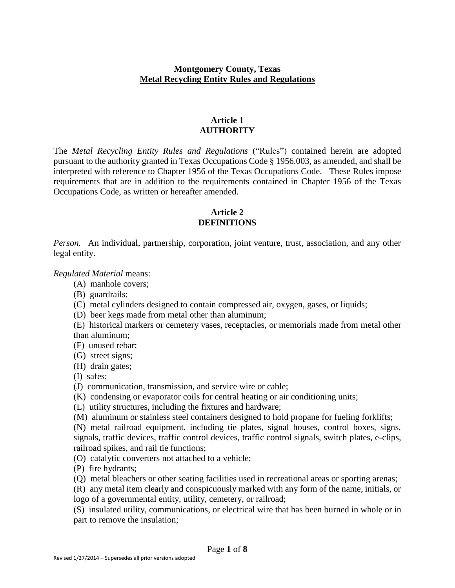# **Montgomery County, Texas Metal Recycling Entity Rules and Regulations**

## **Article 1 AUTHORITY**

The *Metal Recycling Entity Rules and Regulations* ("Rules") contained herein are adopted pursuant to the authority granted in Texas Occupations Code § 1956.003, as amended, and shall be interpreted with reference to Chapter 1956 of the Texas Occupations Code. These Rules impose requirements that are in addition to the requirements contained in Chapter 1956 of the Texas Occupations Code, as written or hereafter amended.

# **Article 2 DEFINITIONS**

*Person.* An individual, partnership, corporation, joint venture, trust, association, and any other legal entity.

*Regulated Material* means:

- (A) manhole covers;
- (B) guardrails;
- (C) metal cylinders designed to contain compressed air, oxygen, gases, or liquids;
- (D) beer kegs made from metal other than aluminum;
- (E) historical markers or cemetery vases, receptacles, or memorials made from metal other than aluminum;
- (F) unused rebar;
- (G) street signs;
- (H) drain gates;
- (I) safes;
- (J) communication, transmission, and service wire or cable;
- (K) condensing or evaporator coils for central heating or air conditioning units;
- (L) utility structures, including the fixtures and hardware;
- (M) aluminum or stainless steel containers designed to hold propane for fueling forklifts;

(N) metal railroad equipment, including tie plates, signal houses, control boxes, signs, signals, traffic devices, traffic control devices, traffic control signals, switch plates, e-clips, railroad spikes, and rail tie functions;

- (O) catalytic converters not attached to a vehicle;
- (P) fire hydrants;
- (Q) metal bleachers or other seating facilities used in recreational areas or sporting arenas;
- (R) any metal item clearly and conspicuously marked with any form of the name, initials, or logo of a governmental entity, utility, cemetery, or railroad;

(S) insulated utility, communications, or electrical wire that has been burned in whole or in part to remove the insulation;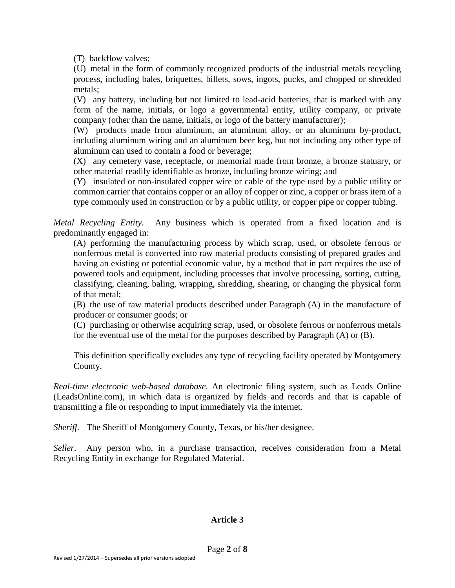(T) backflow valves;

(U) metal in the form of commonly recognized products of the industrial metals recycling process, including bales, briquettes, billets, sows, ingots, pucks, and chopped or shredded metals;

(V) any battery, including but not limited to lead-acid batteries, that is marked with any form of the name, initials, or logo a governmental entity, utility company, or private company (other than the name, initials, or logo of the battery manufacturer);

(W) products made from aluminum, an aluminum alloy, or an aluminum by-product, including aluminum wiring and an aluminum beer keg, but not including any other type of aluminum can used to contain a food or beverage;

(X) any cemetery vase, receptacle, or memorial made from bronze, a bronze statuary, or other material readily identifiable as bronze, including bronze wiring; and

(Y) insulated or non-insulated copper wire or cable of the type used by a public utility or common carrier that contains copper or an alloy of copper or zinc, a copper or brass item of a type commonly used in construction or by a public utility, or copper pipe or copper tubing.

*Metal Recycling Entity.* Any business which is operated from a fixed location and is predominantly engaged in:

(A) performing the manufacturing process by which scrap, used, or obsolete ferrous or nonferrous metal is converted into raw material products consisting of prepared grades and having an existing or potential economic value, by a method that in part requires the use of powered tools and equipment, including processes that involve processing, sorting, cutting, classifying, cleaning, baling, wrapping, shredding, shearing, or changing the physical form of that metal;

(B) the use of raw material products described under Paragraph (A) in the manufacture of producer or consumer goods; or

(C) purchasing or otherwise acquiring scrap, used, or obsolete ferrous or nonferrous metals for the eventual use of the metal for the purposes described by Paragraph (A) or (B).

This definition specifically excludes any type of recycling facility operated by Montgomery County.

*Real-time electronic web-based database.* An electronic filing system, such as Leads Online (LeadsOnline.com), in which data is organized by fields and records and that is capable of transmitting a file or responding to input immediately via the internet.

*Sheriff.* The Sheriff of Montgomery County, Texas, or his/her designee.

*Seller.* Any person who, in a purchase transaction, receives consideration from a Metal Recycling Entity in exchange for Regulated Material.

### **Article 3**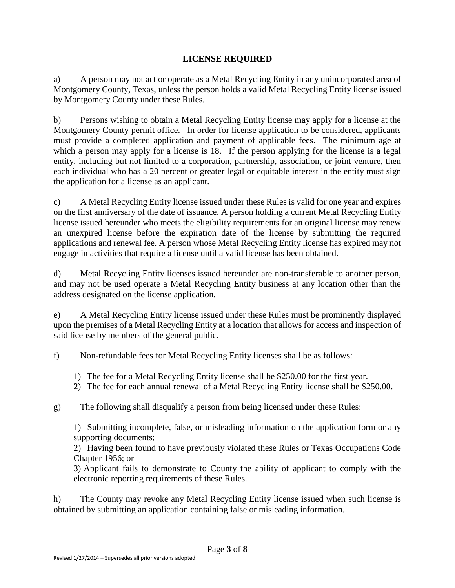# **LICENSE REQUIRED**

a) A person may not act or operate as a Metal Recycling Entity in any unincorporated area of Montgomery County, Texas, unless the person holds a valid Metal Recycling Entity license issued by Montgomery County under these Rules.

b) Persons wishing to obtain a Metal Recycling Entity license may apply for a license at the Montgomery County permit office. In order for license application to be considered, applicants must provide a completed application and payment of applicable fees. The minimum age at which a person may apply for a license is 18. If the person applying for the license is a legal entity, including but not limited to a corporation, partnership, association, or joint venture, then each individual who has a 20 percent or greater legal or equitable interest in the entity must sign the application for a license as an applicant.

c) A Metal Recycling Entity license issued under these Rules is valid for one year and expires on the first anniversary of the date of issuance. A person holding a current Metal Recycling Entity license issued hereunder who meets the eligibility requirements for an original license may renew an unexpired license before the expiration date of the license by submitting the required applications and renewal fee. A person whose Metal Recycling Entity license has expired may not engage in activities that require a license until a valid license has been obtained.

d) Metal Recycling Entity licenses issued hereunder are non-transferable to another person, and may not be used operate a Metal Recycling Entity business at any location other than the address designated on the license application.

e) A Metal Recycling Entity license issued under these Rules must be prominently displayed upon the premises of a Metal Recycling Entity at a location that allows for access and inspection of said license by members of the general public.

f) Non-refundable fees for Metal Recycling Entity licenses shall be as follows:

- 1) The fee for a Metal Recycling Entity license shall be \$250.00 for the first year.
- 2) The fee for each annual renewal of a Metal Recycling Entity license shall be \$250.00.

g) The following shall disqualify a person from being licensed under these Rules:

1) Submitting incomplete, false, or misleading information on the application form or any supporting documents;

2) Having been found to have previously violated these Rules or Texas Occupations Code Chapter 1956; or

3) Applicant fails to demonstrate to County the ability of applicant to comply with the electronic reporting requirements of these Rules.

h) The County may revoke any Metal Recycling Entity license issued when such license is obtained by submitting an application containing false or misleading information.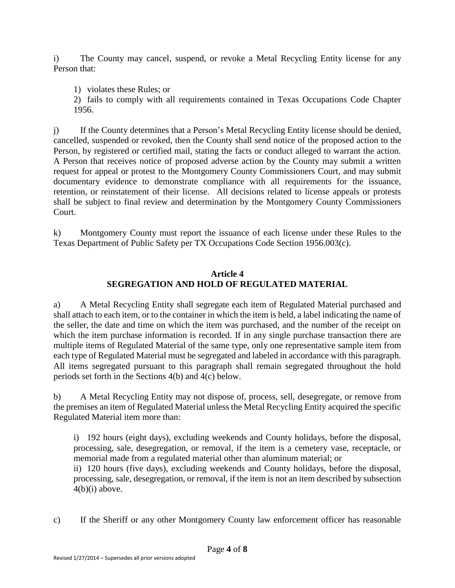i) The County may cancel, suspend, or revoke a Metal Recycling Entity license for any Person that:

1) violates these Rules; or

2) fails to comply with all requirements contained in Texas Occupations Code Chapter 1956.

j) If the County determines that a Person's Metal Recycling Entity license should be denied, cancelled, suspended or revoked, then the County shall send notice of the proposed action to the Person, by registered or certified mail, stating the facts or conduct alleged to warrant the action. A Person that receives notice of proposed adverse action by the County may submit a written request for appeal or protest to the Montgomery County Commissioners Court, and may submit documentary evidence to demonstrate compliance with all requirements for the issuance, retention, or reinstatement of their license. All decisions related to license appeals or protests shall be subject to final review and determination by the Montgomery County Commissioners Court.

k) Montgomery County must report the issuance of each license under these Rules to the Texas Department of Public Safety per TX Occupations Code Section 1956.003(c).

## **Article 4 SEGREGATION AND HOLD OF REGULATED MATERIAL**

a) A Metal Recycling Entity shall segregate each item of Regulated Material purchased and shall attach to each item, or to the container in which the item is held, a label indicating the name of the seller, the date and time on which the item was purchased, and the number of the receipt on which the item purchase information is recorded. If in any single purchase transaction there are multiple items of Regulated Material of the same type, only one representative sample item from each type of Regulated Material must be segregated and labeled in accordance with this paragraph. All items segregated pursuant to this paragraph shall remain segregated throughout the hold periods set forth in the Sections 4(b) and 4(c) below.

b) A Metal Recycling Entity may not dispose of, process, sell, desegregate, or remove from the premises an item of Regulated Material unless the Metal Recycling Entity acquired the specific Regulated Material item more than:

i) 192 hours (eight days), excluding weekends and County holidays, before the disposal, processing, sale, desegregation, or removal, if the item is a cemetery vase, receptacle, or memorial made from a regulated material other than aluminum material; or

ii) 120 hours (five days), excluding weekends and County holidays, before the disposal, processing, sale, desegregation, or removal, if the item is not an item described by subsection  $4(b)(i)$  above.

c) If the Sheriff or any other Montgomery County law enforcement officer has reasonable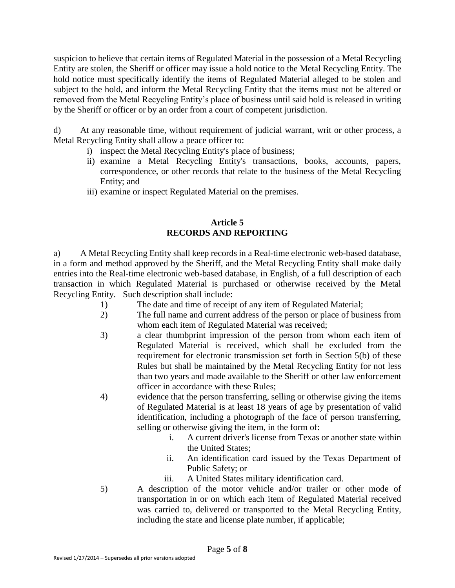suspicion to believe that certain items of Regulated Material in the possession of a Metal Recycling Entity are stolen, the Sheriff or officer may issue a hold notice to the Metal Recycling Entity. The hold notice must specifically identify the items of Regulated Material alleged to be stolen and subject to the hold, and inform the Metal Recycling Entity that the items must not be altered or removed from the Metal Recycling Entity's place of business until said hold is released in writing by the Sheriff or officer or by an order from a court of competent jurisdiction.

d) At any reasonable time, without requirement of judicial warrant, writ or other process, a Metal Recycling Entity shall allow a peace officer to:

- i) inspect the Metal Recycling Entity's place of business;
- ii) examine a Metal Recycling Entity's transactions, books, accounts, papers, correspondence, or other records that relate to the business of the Metal Recycling Entity; and
- iii) examine or inspect Regulated Material on the premises.

# **Article 5 RECORDS AND REPORTING**

a) A Metal Recycling Entity shall keep records in a Real-time electronic web-based database, in a form and method approved by the Sheriff, and the Metal Recycling Entity shall make daily entries into the Real-time electronic web-based database, in English, of a full description of each transaction in which Regulated Material is purchased or otherwise received by the Metal Recycling Entity. Such description shall include:

- 1) The date and time of receipt of any item of Regulated Material;
- 2) The full name and current address of the person or place of business from whom each item of Regulated Material was received;
- 3) a clear thumbprint impression of the person from whom each item of Regulated Material is received, which shall be excluded from the requirement for electronic transmission set forth in Section 5(b) of these Rules but shall be maintained by the Metal Recycling Entity for not less than two years and made available to the Sheriff or other law enforcement officer in accordance with these Rules;
- 4) evidence that the person transferring, selling or otherwise giving the items of Regulated Material is at least 18 years of age by presentation of valid identification, including a photograph of the face of person transferring, selling or otherwise giving the item, in the form of:
	- i. A current driver's license from Texas or another state within the United States;
	- ii. An identification card issued by the Texas Department of Public Safety; or
	- iii. A United States military identification card.
- 5) A description of the motor vehicle and/or trailer or other mode of transportation in or on which each item of Regulated Material received was carried to, delivered or transported to the Metal Recycling Entity, including the state and license plate number, if applicable;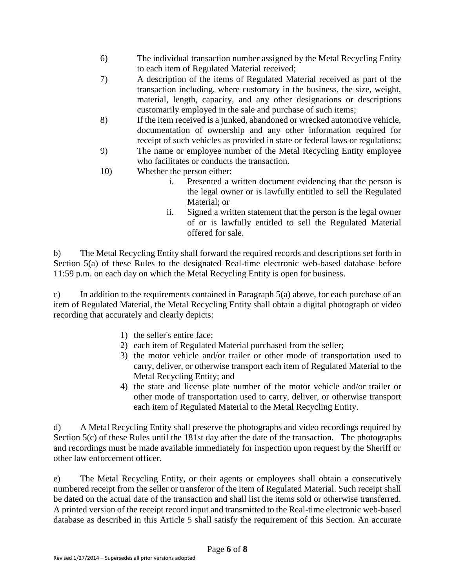- 6) The individual transaction number assigned by the Metal Recycling Entity to each item of Regulated Material received;
- 7) A description of the items of Regulated Material received as part of the transaction including, where customary in the business, the size, weight, material, length, capacity, and any other designations or descriptions customarily employed in the sale and purchase of such items;
- 8) If the item received is a junked, abandoned or wrecked automotive vehicle, documentation of ownership and any other information required for receipt of such vehicles as provided in state or federal laws or regulations;
- 9) The name or employee number of the Metal Recycling Entity employee who facilitates or conducts the transaction.
- 10) Whether the person either:
	- i. Presented a written document evidencing that the person is the legal owner or is lawfully entitled to sell the Regulated Material; or
	- ii. Signed a written statement that the person is the legal owner of or is lawfully entitled to sell the Regulated Material offered for sale.

b) The Metal Recycling Entity shall forward the required records and descriptions set forth in Section 5(a) of these Rules to the designated Real-time electronic web-based database before 11:59 p.m. on each day on which the Metal Recycling Entity is open for business.

c) In addition to the requirements contained in Paragraph  $5(a)$  above, for each purchase of an item of Regulated Material, the Metal Recycling Entity shall obtain a digital photograph or video recording that accurately and clearly depicts:

- 1) the seller's entire face;
- 2) each item of Regulated Material purchased from the seller;
- 3) the motor vehicle and/or trailer or other mode of transportation used to carry, deliver, or otherwise transport each item of Regulated Material to the Metal Recycling Entity; and
- 4) the state and license plate number of the motor vehicle and/or trailer or other mode of transportation used to carry, deliver, or otherwise transport each item of Regulated Material to the Metal Recycling Entity.

d) A Metal Recycling Entity shall preserve the photographs and video recordings required by Section 5(c) of these Rules until the 181st day after the date of the transaction. The photographs and recordings must be made available immediately for inspection upon request by the Sheriff or other law enforcement officer.

e) The Metal Recycling Entity, or their agents or employees shall obtain a consecutively numbered receipt from the seller or transferor of the item of Regulated Material. Such receipt shall be dated on the actual date of the transaction and shall list the items sold or otherwise transferred. A printed version of the receipt record input and transmitted to the Real-time electronic web-based database as described in this Article 5 shall satisfy the requirement of this Section. An accurate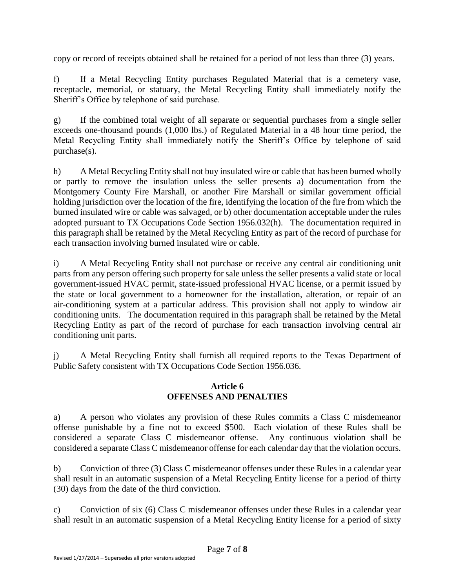copy or record of receipts obtained shall be retained for a period of not less than three (3) years.

f) If a Metal Recycling Entity purchases Regulated Material that is a cemetery vase, receptacle, memorial, or statuary, the Metal Recycling Entity shall immediately notify the Sheriff's Office by telephone of said purchase.

g) If the combined total weight of all separate or sequential purchases from a single seller exceeds one-thousand pounds (1,000 lbs.) of Regulated Material in a 48 hour time period, the Metal Recycling Entity shall immediately notify the Sheriff's Office by telephone of said purchase(s).

h) A Metal Recycling Entity shall not buy insulated wire or cable that has been burned wholly or partly to remove the insulation unless the seller presents a) documentation from the Montgomery County Fire Marshall, or another Fire Marshall or similar government official holding jurisdiction over the location of the fire, identifying the location of the fire from which the burned insulated wire or cable was salvaged, or b) other documentation acceptable under the rules adopted pursuant to TX Occupations Code Section 1956.032(h). The documentation required in this paragraph shall be retained by the Metal Recycling Entity as part of the record of purchase for each transaction involving burned insulated wire or cable.

i) A Metal Recycling Entity shall not purchase or receive any central air conditioning unit parts from any person offering such property for sale unless the seller presents a valid state or local government-issued HVAC permit, state-issued professional HVAC license, or a permit issued by the state or local government to a homeowner for the installation, alteration, or repair of an air-conditioning system at a particular address. This provision shall not apply to window air conditioning units. The documentation required in this paragraph shall be retained by the Metal Recycling Entity as part of the record of purchase for each transaction involving central air conditioning unit parts.

j) A Metal Recycling Entity shall furnish all required reports to the Texas Department of Public Safety consistent with TX Occupations Code Section 1956.036.

### **Article 6 OFFENSES AND PENALTIES**

a) A person who violates any provision of these Rules commits a Class C misdemeanor offense punishable by a fine not to exceed \$500. Each violation of these Rules shall be considered a separate Class C misdemeanor offense. Any continuous violation shall be considered a separate Class C misdemeanor offense for each calendar day that the violation occurs.

b) Conviction of three (3) Class C misdemeanor offenses under these Rules in a calendar year shall result in an automatic suspension of a Metal Recycling Entity license for a period of thirty (30) days from the date of the third conviction.

c) Conviction of six (6) Class C misdemeanor offenses under these Rules in a calendar year shall result in an automatic suspension of a Metal Recycling Entity license for a period of sixty